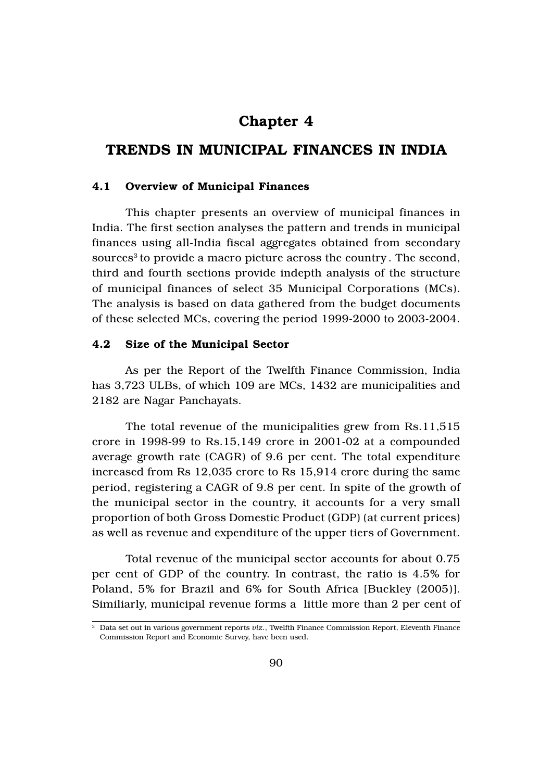# Chapter 4

# TRENDS IN MUNICIPAL FINANCES IN INDIA

### 4.1 Overview of Municipal Finances

This chapter presents an overview of municipal finances in India. The first section analyses the pattern and trends in municipal finances using all-India fiscal aggregates obtained from secondary sources<sup>3</sup> to provide a macro picture across the country. The second, third and fourth sections provide indepth analysis of the structure of municipal finances of select 35 Municipal Corporations (MCs). The analysis is based on data gathered from the budget documents of these selected MCs, covering the period 1999-2000 to 2003-2004.

### 4.2 Size of the Municipal Sector

As per the Report of the Twelfth Finance Commission, India has 3,723 ULBs, of which 109 are MCs, 1432 are municipalities and 2182 are Nagar Panchayats.

The total revenue of the municipalities grew from Rs.11,515 crore in 1998-99 to Rs.15,149 crore in 2001-02 at a compounded average growth rate (CAGR) of 9.6 per cent. The total expenditure increased from Rs 12,035 crore to Rs 15,914 crore during the same period, registering a CAGR of 9.8 per cent. In spite of the growth of the municipal sector in the country, it accounts for a very small proportion of both Gross Domestic Product (GDP) (at current prices) as well as revenue and expenditure of the upper tiers of Government.

Total revenue of the municipal sector accounts for about 0.75 per cent of GDP of the country. In contrast, the ratio is 4.5% for Poland, 5% for Brazil and 6% for South Africa [Buckley (2005)]. Similiarly, municipal revenue forms a little more than 2 per cent of

<sup>3</sup> Data set out in various government reports *viz.*, Twelfth Finance Commission Report, Eleventh Finance Commission Report and Economic Survey, have been used.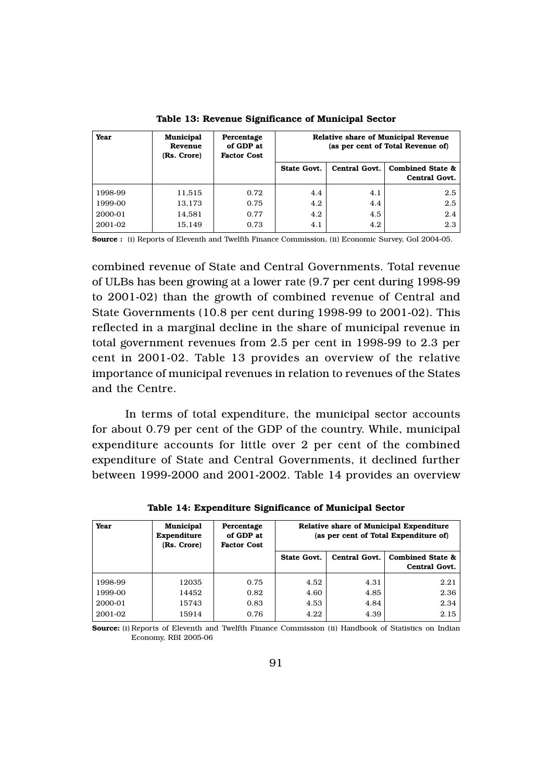| Year    | <b>Municipal</b><br>Revenue<br>(Rs. Crore) | Percentage<br>of GDP at<br><b>Factor Cost</b> | <b>Relative share of Municipal Revenue</b><br>(as per cent of Total Revenue of) |               |                                                     |
|---------|--------------------------------------------|-----------------------------------------------|---------------------------------------------------------------------------------|---------------|-----------------------------------------------------|
|         |                                            |                                               | State Govt.                                                                     | Central Govt. | <b>Combined State &amp;</b><br><b>Central Govt.</b> |
| 1998-99 | 11,515                                     | 0.72                                          | 4.4                                                                             | 4.1           | 2.5                                                 |
| 1999-00 | 13,173                                     | 0.75                                          | 4.2                                                                             | 4.4           | 2.5                                                 |
| 2000-01 | 14,581                                     | 0.77                                          | 4.2                                                                             | 4.5           | 2.4                                                 |
| 2001-02 | 15.149                                     | 0.73                                          | 4.1                                                                             | 4.2           | 2.3                                                 |

Table 13: Revenue Significance of Municipal Sector

Source : (i) Reports of Eleventh and Twelfth Finance Commission, (ii) Economic Survey, GoI 2004-05.

combined revenue of State and Central Governments. Total revenue of ULBs has been growing at a lower rate (9.7 per cent during 1998-99 to 2001-02) than the growth of combined revenue of Central and State Governments (10.8 per cent during 1998-99 to 2001-02). This reflected in a marginal decline in the share of municipal revenue in total government revenues from 2.5 per cent in 1998-99 to 2.3 per cent in 2001-02. Table 13 provides an overview of the relative importance of municipal revenues in relation to revenues of the States and the Centre.

In terms of total expenditure, the municipal sector accounts for about 0.79 per cent of the GDP of the country. While, municipal expenditure accounts for little over 2 per cent of the combined expenditure of State and Central Governments, it declined further between 1999-2000 and 2001-2002. Table 14 provides an overview

| Year    | <b>Municipal</b><br>Expenditure<br>(Rs. Crore) | Percentage<br>of GDP at<br><b>Factor Cost</b> | Relative share of Municipal Expenditure<br>(as per cent of Total Expenditure of) |               |                                              |
|---------|------------------------------------------------|-----------------------------------------------|----------------------------------------------------------------------------------|---------------|----------------------------------------------|
|         |                                                |                                               | State Govt.                                                                      | Central Govt. | <b>Combined State &amp;</b><br>Central Govt. |
| 1998-99 | 12035                                          | 0.75                                          | 4.52                                                                             | 4.31          | 2.21                                         |
| 1999-00 | 14452                                          | 0.82                                          | 4.60                                                                             | 4.85          | 2.36                                         |
| 2000-01 | 15743                                          | 0.83                                          | 4.53                                                                             | 4.84          | 2.34                                         |
| 2001-02 | 15914                                          | 0.76                                          | 4.22                                                                             | 4.39          | 2.15                                         |

Table 14: Expenditure Significance of Municipal Sector

Source: (i) Reports of Eleventh and Twelfth Finance Commission (ii) Handbook of Statistics on Indian Economy, RBI 2005-06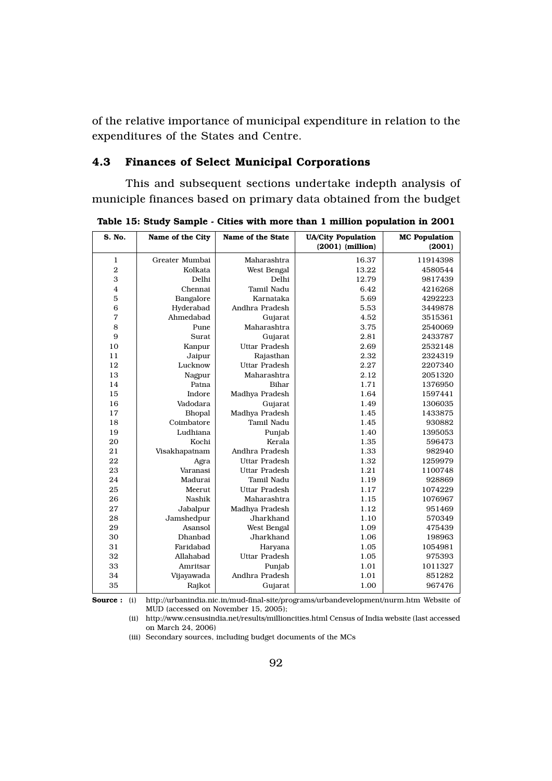of the relative importance of municipal expenditure in relation to the expenditures of the States and Centre.

# 4.3 Finances of Select Municipal Corporations

This and subsequent sections undertake indepth analysis of municiple finances based on primary data obtained from the budget

| S. No.           | Name of the City | Name of the State    | <b>UA/City Population</b><br>$(2001)$ (million) | <b>MC</b> Population<br>(2001) |
|------------------|------------------|----------------------|-------------------------------------------------|--------------------------------|
| 1                | Greater Mumbai   | Maharashtra          | 16.37                                           | 11914398                       |
| $\boldsymbol{2}$ | Kolkata          | West Bengal          | 13.22                                           | 4580544                        |
| 3                | Delhi            | Delhi                | 12.79                                           | 9817439                        |
| $\overline{4}$   | Chennai          | Tamil Nadu           | 6.42                                            | 4216268                        |
| 5                | Bangalore        | Karnataka            | 5.69                                            | 4292223                        |
| 6                | Hyderabad        | Andhra Pradesh       | 5.53                                            | 3449878                        |
| 7                | Ahmedabad        | Gujarat              | 4.52                                            | 3515361                        |
| 8                | Pune             | Maharashtra          | 3.75                                            | 2540069                        |
| 9                | Surat            | Gujarat              | 2.81                                            | 2433787                        |
| 10               | Kanpur           | <b>Uttar Pradesh</b> | 2.69                                            | 2532148                        |
| 11               | Jaipur           | Rajasthan            | 2.32                                            | 2324319                        |
| 12               | Lucknow          | <b>Uttar Pradesh</b> | 2.27                                            | 2207340                        |
| 13               | Nagpur           | Maharashtra          | 2.12                                            | 2051320                        |
| 14               | Patna            | Bihar                | 1.71                                            | 1376950                        |
| 15               | Indore           | Madhya Pradesh       | 1.64                                            | 1597441                        |
| 16               | Vadodara         | Gujarat              | 1.49                                            | 1306035                        |
| 17               | Bhopal           | Madhya Pradesh       | 1.45                                            | 1433875                        |
| 18               | Coimbatore       | Tamil Nadu           | 1.45                                            | 930882                         |
| 19               | Ludhiana         | Punjab               | 1.40                                            | 1395053                        |
| 20               | Kochi            | Kerala               | 1.35                                            | 596473                         |
| 21               | Visakhapatnam    | Andhra Pradesh       | 1.33                                            | 982940                         |
| 22               | Agra             | <b>Uttar Pradesh</b> | 1.32                                            | 1259979                        |
| 23               | Varanasi         | <b>Uttar Pradesh</b> | 1.21                                            | 1100748                        |
| 24               | Madurai          | Tamil Nadu           | 1.19                                            | 928869                         |
| 25               | Meerut           | <b>Uttar Pradesh</b> | 1.17                                            | 1074229                        |
| 26               | Nashik           | Maharashtra          | 1.15                                            | 1076967                        |
| 27               | Jabalpur         | Madhya Pradesh       | 1.12                                            | 951469                         |
| 28               | Jamshedpur       | Jharkhand            | 1.10                                            | 570349                         |
| 29               | Asansol          | West Bengal          | 1.09                                            | 475439                         |
| 30               | Dhanbad          | Jharkhand            | 1.06                                            | 198963                         |
| 31               | Faridabad        | Haryana              | 1.05                                            | 1054981                        |
| 32               | Allahabad        | <b>Uttar Pradesh</b> | 1.05                                            | 975393                         |
| 33               | Amritsar         | Punjab               | 1.01                                            | 1011327                        |
| 34               | Vijayawada       | Andhra Pradesh       | 1.01                                            | 851282                         |
| 35               | Rajkot           | Gujarat              | 1.00                                            | 967476                         |

Table 15: Study Sample - Cities with more than 1 million population in 2001

Source : (i) http://urbanindia.nic.in/mud-final-site/programs/urbandevelopment/nurm.htm Website of MUD (accessed on November 15, 2005);

(ii) http://www.censusindia.net/results/millioncities.html Census of India website (last accessed on March 24, 2006)

(iii) Secondary sources, including budget documents of the MCs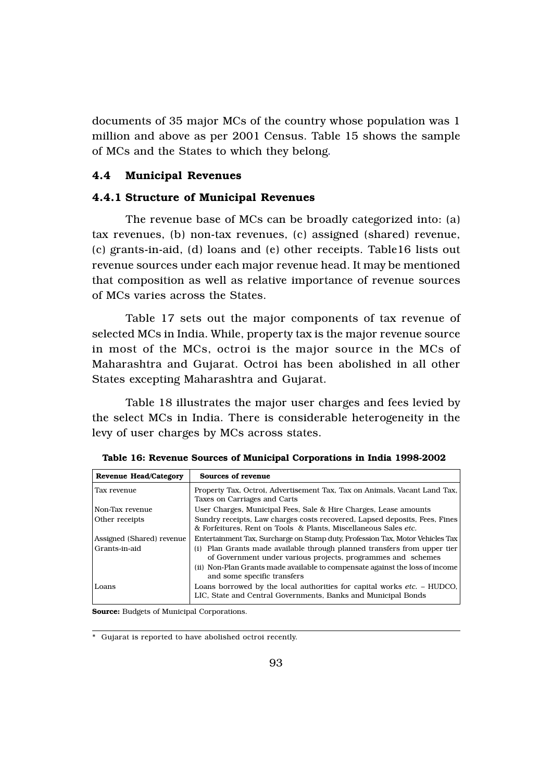documents of 35 major MCs of the country whose population was 1 million and above as per 2001 Census. Table 15 shows the sample of MCs and the States to which they belong.

### 4.4 Municipal Revenues

### 4.4.1 Structure of Municipal Revenues

The revenue base of MCs can be broadly categorized into: (a) tax revenues, (b) non-tax revenues, (c) assigned (shared) revenue, (c) grants-in-aid, (d) loans and (e) other receipts. Table16 lists out revenue sources under each major revenue head. It may be mentioned that composition as well as relative importance of revenue sources of MCs varies across the States.

Table 17 sets out the major components of tax revenue of selected MCs in India. While, property tax is the major revenue source in most of the MCs, octroi is the major source in the MCs of Maharashtra and Gujarat. Octroi has been abolished in all other States excepting Maharashtra and Gujarat.

Table 18 illustrates the major user charges and fees levied by the select MCs in India. There is considerable heterogeneity in the levy of user charges by MCs across states.

| Revenue Head/Category     | Sources of revenue                                                                                                                              |
|---------------------------|-------------------------------------------------------------------------------------------------------------------------------------------------|
| Tax revenue               | Property Tax, Octroi, Advertisement Tax, Tax on Animals, Vacant Land Tax,<br>Taxes on Carriages and Carts                                       |
| Non-Tax revenue           | User Charges, Municipal Fees, Sale & Hire Charges, Lease amounts                                                                                |
| Other receipts            | Sundry receipts, Law charges costs recovered, Lapsed deposits, Fees, Fines<br>& Forfeitures. Rent on Tools & Plants. Miscellaneous Sales etc.   |
| Assigned (Shared) revenue | Entertainment Tax, Surcharge on Stamp duty, Profession Tax, Motor Vehicles Tax                                                                  |
| Grants-in-aid             | (i) Plan Grants made available through planned transfers from upper tier<br>of Government under various projects, programmes and schemes        |
|                           | (ii) Non-Plan Grants made available to compensate against the loss of income<br>and some specific transfers                                     |
| Loans                     | Loans borrowed by the local authorities for capital works <i>etc.</i> – HUDCO.<br>LIC, State and Central Governments, Banks and Municipal Bonds |

Table 16: Revenue Sources of Municipal Corporations in India 1998-2002

Source: Budgets of Municipal Corporations.

\* Gujarat is reported to have abolished octroi recently.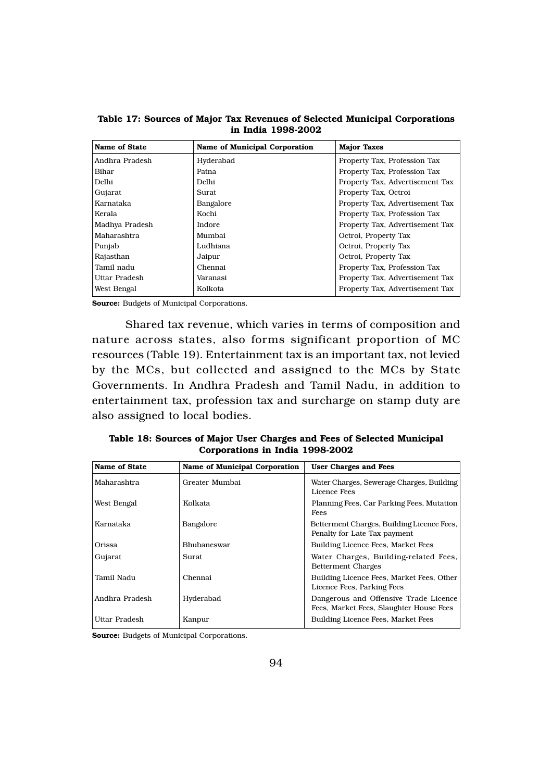| <b>Name of State</b> | <b>Name of Municipal Corporation</b> | <b>Major Taxes</b>              |
|----------------------|--------------------------------------|---------------------------------|
| Andhra Pradesh       | Hyderabad                            | Property Tax, Profession Tax    |
| Bihar                | Patna                                | Property Tax, Profession Tax    |
| Delhi                | Delhi                                | Property Tax, Advertisement Tax |
| Gujarat              | Surat                                | Property Tax, Octroi            |
| Karnataka            | Bangalore                            | Property Tax, Advertisement Tax |
| Kerala               | Kochi                                | Property Tax, Profession Tax    |
| Madhya Pradesh       | Indore                               | Property Tax, Advertisement Tax |
| Maharashtra          | Mumbai                               | Octroi, Property Tax            |
| Punjab               | Ludhiana                             | Octroi, Property Tax            |
| Rajasthan            | Jaipur                               | Octroi, Property Tax            |
| Tamil nadu           | Chennai                              | Property Tax, Profession Tax    |
| Uttar Pradesh        | Varanasi                             | Property Tax, Advertisement Tax |
| West Bengal          | Kolkota                              | Property Tax, Advertisement Tax |

Table 17: Sources of Major Tax Revenues of Selected Municipal Corporations in India 1998-2002

Shared tax revenue, which varies in terms of composition and nature across states, also forms significant proportion of MC resources (Table 19). Entertainment tax is an important tax, not levied by the MCs, but collected and assigned to the MCs by State Governments. In Andhra Pradesh and Tamil Nadu, in addition to entertainment tax, profession tax and surcharge on stamp duty are also assigned to local bodies.

Table 18: Sources of Major User Charges and Fees of Selected Municipal Corporations in India 1998-2002

| Name of State  | <b>Name of Municipal Corporation</b> | <b>User Charges and Fees</b>                                                     |
|----------------|--------------------------------------|----------------------------------------------------------------------------------|
| Maharashtra    | Greater Mumbai                       | Water Charges, Sewerage Charges, Building<br>Licence Fees                        |
| West Bengal    | Kolkata                              | Planning Fees, Car Parking Fees, Mutation<br>Fees                                |
| Karnataka      | Bangalore                            | Betterment Charges, Building Licence Fees,<br>Penalty for Late Tax payment       |
| Orissa         | Bhubaneswar                          | <b>Building Licence Fees, Market Fees</b>                                        |
| Gujarat        | Surat                                | Water Charges, Building-related Fees,<br><b>Betterment Charges</b>               |
| Tamil Nadu     | Chennai                              | Building Licence Fees, Market Fees, Other<br>Licence Fees, Parking Fees          |
| Andhra Pradesh | Hyderabad                            | Dangerous and Offensive Trade Licence<br>Fees, Market Fees, Slaughter House Fees |
| Uttar Pradesh  | Kanpur                               | Building Licence Fees, Market Fees                                               |

Source: Budgets of Municipal Corporations.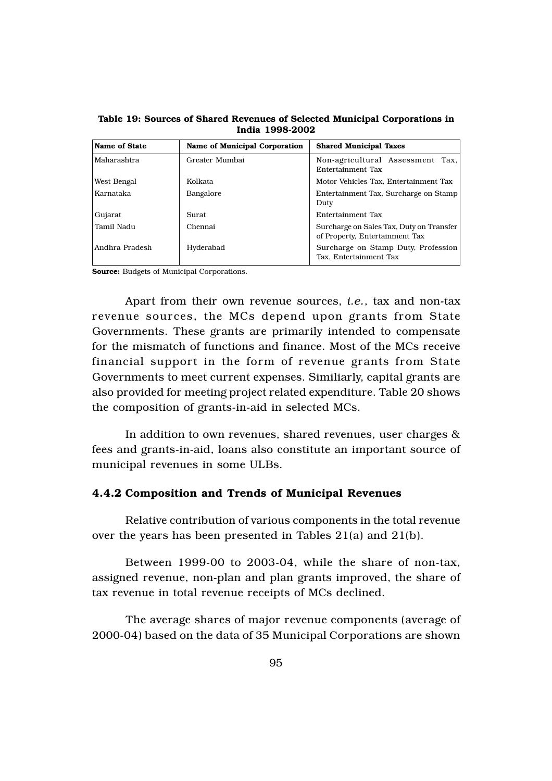| Name of State  | <b>Name of Municipal Corporation</b> | <b>Shared Municipal Taxes</b>                                              |
|----------------|--------------------------------------|----------------------------------------------------------------------------|
| Maharashtra    | Greater Mumbai                       | Non-agricultural Assessment Tax,<br>Entertainment Tax                      |
| West Bengal    | Kolkata                              | Motor Vehicles Tax. Entertainment Tax                                      |
| Karnataka      | Bangalore                            | Entertainment Tax, Surcharge on Stamp<br>Duty                              |
| Gujarat        | Surat                                | Entertainment Tax                                                          |
| Tamil Nadu     | Chennai                              | Surcharge on Sales Tax, Duty on Transfer<br>of Property, Entertainment Tax |
| Andhra Pradesh | Hyderabad                            | Surcharge on Stamp Duty, Profession<br>Tax, Entertainment Tax              |

Table 19: Sources of Shared Revenues of Selected Municipal Corporations in India 1998-2002

Apart from their own revenue sources, *i.e.*, tax and non-tax revenue sources, the MCs depend upon grants from State Governments. These grants are primarily intended to compensate for the mismatch of functions and finance. Most of the MCs receive financial support in the form of revenue grants from State Governments to meet current expenses. Similiarly, capital grants are also provided for meeting project related expenditure. Table 20 shows the composition of grants-in-aid in selected MCs.

In addition to own revenues, shared revenues, user charges & fees and grants-in-aid, loans also constitute an important source of municipal revenues in some ULBs.

## 4.4.2 Composition and Trends of Municipal Revenues

Relative contribution of various components in the total revenue over the years has been presented in Tables 21(a) and 21(b).

Between 1999-00 to 2003-04, while the share of non-tax, assigned revenue, non-plan and plan grants improved, the share of tax revenue in total revenue receipts of MCs declined.

The average shares of major revenue components (average of 2000-04) based on the data of 35 Municipal Corporations are shown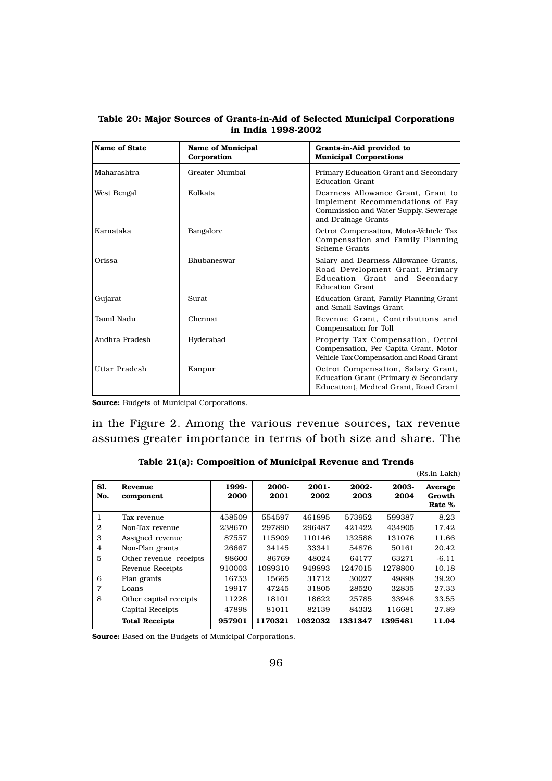| <b>Name of State</b> | <b>Name of Municipal</b><br>Corporation | Grants-in-Aid provided to<br><b>Municipal Corporations</b>                                                                             |
|----------------------|-----------------------------------------|----------------------------------------------------------------------------------------------------------------------------------------|
| Maharashtra          | Greater Mumbai                          | Primary Education Grant and Secondary<br>Education Grant                                                                               |
| West Bengal          | Kolkata                                 | Dearness Allowance Grant, Grant to<br>Implement Recommendations of Pay<br>Commission and Water Supply, Sewerage<br>and Drainage Grants |
| Karnataka            | Bangalore                               | Octroi Compensation, Motor-Vehicle Tax<br>Compensation and Family Planning<br>Scheme Grants                                            |
| Orissa               | <b>Bhubaneswar</b>                      | Salary and Dearness Allowance Grants,<br>Road Development Grant, Primary<br>Education Grant and Secondary<br><b>Education Grant</b>    |
| Gujarat              | Surat                                   | Education Grant, Family Planning Grant<br>and Small Savings Grant                                                                      |
| Tamil Nadu           | Chennai                                 | Revenue Grant. Contributions and<br>Compensation for Toll                                                                              |
| Andhra Pradesh       | Hyderabad                               | Property Tax Compensation, Octroi<br>Compensation, Per Capita Grant, Motor<br>Vehicle Tax Compensation and Road Grant                  |
| Uttar Pradesh        | Kanpur                                  | Octroi Compensation, Salary Grant,<br>Education Grant (Primary & Secondary<br>Education). Medical Grant. Road Grant                    |

Table 20: Major Sources of Grants-in-Aid of Selected Municipal Corporations in India 1998-2002

in the Figure 2. Among the various revenue sources, tax revenue assumes greater importance in terms of both size and share. The

|  | Table 21(a): Composition of Municipal Revenue and Trends |  |  |  |
|--|----------------------------------------------------------|--|--|--|
|--|----------------------------------------------------------|--|--|--|

|                |                         |               |               |                  |               |               | (Rs.in Lakh)                |
|----------------|-------------------------|---------------|---------------|------------------|---------------|---------------|-----------------------------|
| Sl.<br>No.     | Revenue<br>component    | 1999-<br>2000 | 2000-<br>2001 | $2001 -$<br>2002 | 2002-<br>2003 | 2003-<br>2004 | Average<br>Growth<br>Rate % |
| 1              | Tax revenue             | 458509        | 554597        | 461895           | 573952        | 599387        | 8.23                        |
| $\mathbf{2}$   | Non-Tax revenue         | 238670        | 297890        | 296487           | 421422        | 434905        | 17.42                       |
| 3              | Assigned revenue        | 87557         | 115909        | 110146           | 132588        | 131076        | 11.66                       |
| 4              | Non-Plan grants         | 26667         | 34145         | 33341            | 54876         | 50161         | 20.42                       |
| 5              | Other revenue receipts  | 98600         | 86769         | 48024            | 64177         | 63271         | $-6.11$                     |
|                | <b>Revenue Receipts</b> | 910003        | 1089310       | 949893           | 1247015       | 1278800       | 10.18                       |
| 6              | Plan grants             | 16753         | 15665         | 31712            | 30027         | 49898         | 39.20                       |
| $\overline{7}$ | Loans                   | 19917         | 47245         | 31805            | 28520         | 32835         | 27.33                       |
| 8              | Other capital receipts  | 11228         | 18101         | 18622            | 25785         | 33948         | 33.55                       |
|                | <b>Capital Receipts</b> | 47898         | 81011         | 82139            | 84332         | 116681        | 27.89                       |
|                | <b>Total Receipts</b>   | 957901        | 1170321       | 1032032          | 1331347       | 1395481       | 11.04                       |

Source: Based on the Budgets of Municipal Corporations.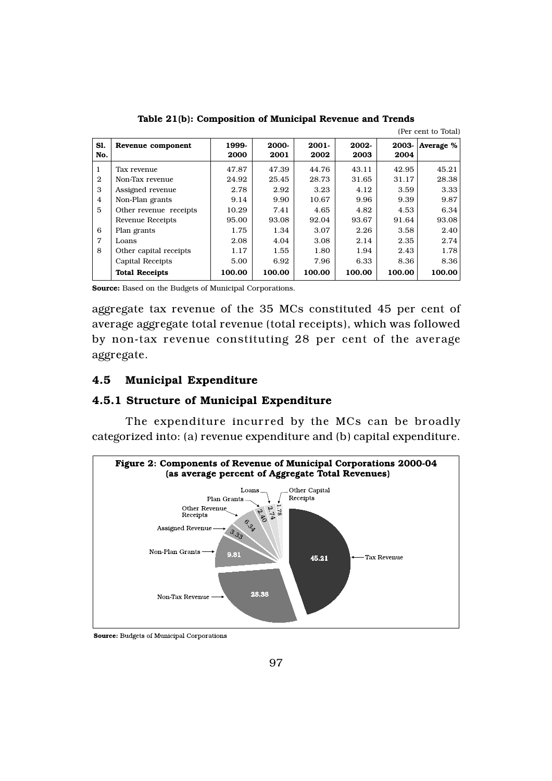|                |                         |               |               |                  |               |               | (Per cent to Total) |
|----------------|-------------------------|---------------|---------------|------------------|---------------|---------------|---------------------|
| Sl.<br>No.     | Revenue component       | 1999-<br>2000 | 2000-<br>2001 | $2001 -$<br>2002 | 2002-<br>2003 | 2003-<br>2004 | Average %           |
| 1              | Tax revenue             | 47.87         | 47.39         | 44.76            | 43.11         | 42.95         | 45.21               |
| $\mathbf{2}$   | Non-Tax revenue         | 24.92         | 25.45         | 28.73            | 31.65         | 31.17         | 28.38               |
| 3              | Assigned revenue        | 2.78          | 2.92          | 3.23             | 4.12          | 3.59          | 3.33                |
| $\overline{4}$ | Non-Plan grants         | 9.14          | 9.90          | 10.67            | 9.96          | 9.39          | 9.87                |
| 5              | Other revenue receipts  | 10.29         | 7.41          | 4.65             | 4.82          | 4.53          | 6.34                |
|                | <b>Revenue Receipts</b> | 95.00         | 93.08         | 92.04            | 93.67         | 91.64         | 93.08               |
| 6              | Plan grants             | 1.75          | 1.34          | 3.07             | 2.26          | 3.58          | 2.40                |
| $\overline{7}$ | Loans                   | 2.08          | 4.04          | 3.08             | 2.14          | 2.35          | 2.74                |
| 8              | Other capital receipts  | 1.17          | 1.55          | 1.80             | 1.94          | 2.43          | 1.78                |
|                | <b>Capital Receipts</b> | 5.00          | 6.92          | 7.96             | 6.33          | 8.36          | 8.36                |
|                | <b>Total Receipts</b>   | 100.00        | 100.00        | 100.00           | 100.00        | 100.00        | 100.00              |

Table 21(b): Composition of Municipal Revenue and Trends

Source: Based on the Budgets of Municipal Corporations.

aggregate tax revenue of the 35 MCs constituted 45 per cent of average aggregate total revenue (total receipts), which was followed by non-tax revenue constituting 28 per cent of the average aggregate.

# 4.5 Municipal Expenditure

### 4.5.1 Structure of Municipal Expenditure

The expenditure incurred by the MCs can be broadly categorized into: (a) revenue expenditure and (b) capital expenditure.



**Source:** Budgets of Municipal Corporations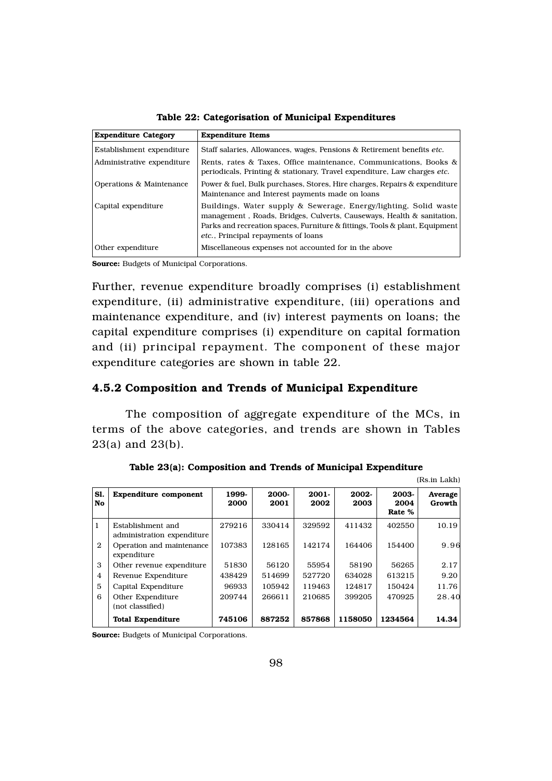| <b>Expenditure Category</b> | <b>Expenditure Items</b>                                                                                                                                                                                                                                                |
|-----------------------------|-------------------------------------------------------------------------------------------------------------------------------------------------------------------------------------------------------------------------------------------------------------------------|
| Establishment expenditure   | Staff salaries, Allowances, wages, Pensions & Retirement benefits etc.                                                                                                                                                                                                  |
| Administrative expenditure  | Rents, rates & Taxes, Office maintenance, Communications, Books &<br>periodicals, Printing & stationary, Travel expenditure, Law charges <i>etc.</i>                                                                                                                    |
| Operations & Maintenance    | Power & fuel, Bulk purchases, Stores, Hire charges, Repairs & expenditure<br>Maintenance and Interest payments made on loans                                                                                                                                            |
| Capital expenditure         | Buildings, Water supply & Sewerage, Energy/lighting, Solid waste<br>management, Roads, Bridges, Culverts, Causeways, Health & sanitation,<br>Parks and recreation spaces, Furniture & fittings, Tools & plant, Equipment<br><i>etc.</i> , Principal repayments of loans |
| Other expenditure           | Miscellaneous expenses not accounted for in the above                                                                                                                                                                                                                   |

Table 22: Categorisation of Municipal Expenditures

Further, revenue expenditure broadly comprises (i) establishment expenditure, (ii) administrative expenditure, (iii) operations and maintenance expenditure, and (iv) interest payments on loans; the capital expenditure comprises (i) expenditure on capital formation and (ii) principal repayment. The component of these major expenditure categories are shown in table 22.

# 4.5.2 Composition and Trends of Municipal Expenditure

The composition of aggregate expenditure of the MCs, in terms of the above categories, and trends are shown in Tables 23(a) and 23(b).

|                | (Rs.in Lakh)                                    |               |               |                  |               |                         |                   |
|----------------|-------------------------------------------------|---------------|---------------|------------------|---------------|-------------------------|-------------------|
| Sl.<br>No.     | <b>Expenditure component</b>                    | 1999-<br>2000 | 2000-<br>2001 | $2001 -$<br>2002 | 2002-<br>2003 | 2003-<br>2004<br>Rate % | Average<br>Growth |
| 1              | Establishment and<br>administration expenditure | 279216        | 330414        | 329592           | 411432        | 402550                  | 10.19             |
| $\mathbf{2}$   | Operation and maintenance<br>expenditure        | 107383        | 128165        | 142174           | 164406        | 154400                  | 9.96              |
| 3              | Other revenue expenditure                       | 51830         | 56120         | 55954            | 58190         | 56265                   | 2.17              |
| $\overline{4}$ | Revenue Expenditure                             | 438429        | 514699        | 527720           | 634028        | 613215                  | 9.20              |
| 5              | Capital Expenditure                             | 96933         | 105942        | 119463           | 124817        | 150424                  | 11.76             |
| 6              | Other Expenditure<br>(not classified)           | 209744        | 266611        | 210685           | 399205        | 470925                  | 28.40             |
|                | <b>Total Expenditure</b>                        | 745106        | 887252        | 857868           | 1158050       | 1234564                 | 14.34             |

|  | Table 23(a): Composition and Trends of Municipal Expenditure |  |  |  |
|--|--------------------------------------------------------------|--|--|--|
|--|--------------------------------------------------------------|--|--|--|

Source: Budgets of Municipal Corporations.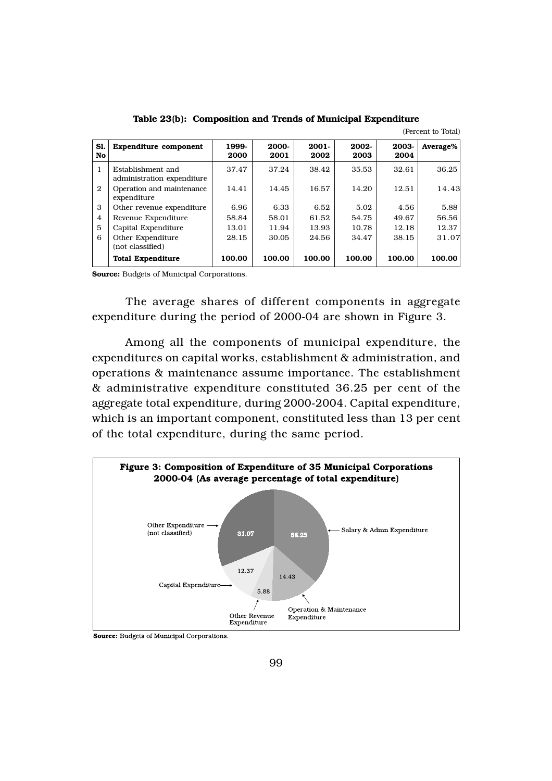| Sl.<br>No      | <b>Expenditure component</b>                    | 1999-<br>2000 | 2000-<br>2001 | $2001 -$<br>2002 | 2002-<br>2003 | 2003-<br>2004 | Average% |
|----------------|-------------------------------------------------|---------------|---------------|------------------|---------------|---------------|----------|
| 1              | Establishment and<br>administration expenditure | 37.47         | 37.24         | 38.42            | 35.53         | 32.61         | 36.25    |
| $\mathbf{2}$   | Operation and maintenance<br>expenditure        | 14.41         | 14.45         | 16.57            | 14.20         | 12.51         | 14.43    |
| 3              | Other revenue expenditure                       | 6.96          | 6.33          | 6.52             | 5.02          | 4.56          | 5.88     |
| $\overline{4}$ | Revenue Expenditure                             | 58.84         | 58.01         | 61.52            | 54.75         | 49.67         | 56.56    |
| 5              | Capital Expenditure                             | 13.01         | 11.94         | 13.93            | 10.78         | 12.18         | 12.37    |
| 6              | Other Expenditure<br>(not classified)           | 28.15         | 30.05         | 24.56            | 34.47         | 38.15         | 31.07    |
|                | <b>Total Expenditure</b>                        | 100.00        | 100.00        | 100.00           | 100.00        | 100.00        | 100.00   |

Table 23(b): Composition and Trends of Municipal Expenditure

(Percent to Total)

Source: Budgets of Municipal Corporations.

The average shares of different components in aggregate expenditure during the period of 2000-04 are shown in Figure 3.

Among all the components of municipal expenditure, the expenditures on capital works, establishment & administration, and operations & maintenance assume importance. The establishment & administrative expenditure constituted 36.25 per cent of the aggregate total expenditure, during 2000-2004. Capital expenditure, which is an important component, constituted less than 13 per cent of the total expenditure, during the same period.



**Source:** Budgets of Municipal Corporations.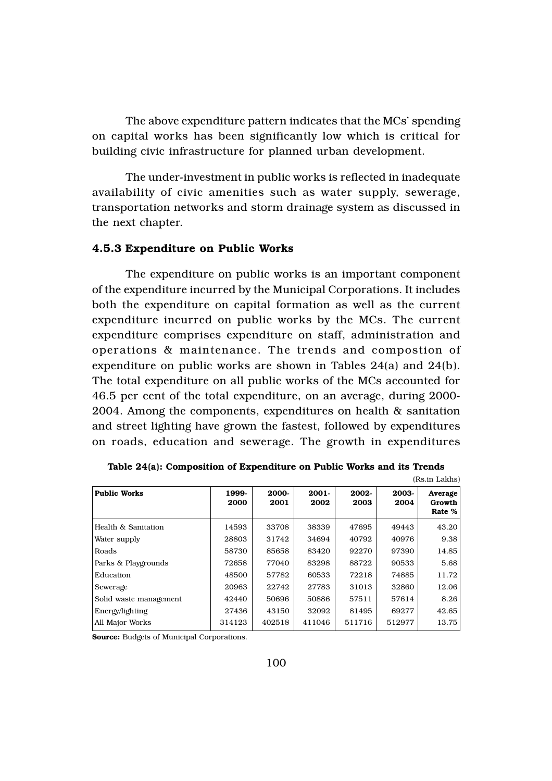The above expenditure pattern indicates that the MCs' spending on capital works has been significantly low which is critical for building civic infrastructure for planned urban development.

The under-investment in public works is reflected in inadequate availability of civic amenities such as water supply, sewerage, transportation networks and storm drainage system as discussed in the next chapter.

## 4.5.3 Expenditure on Public Works

The expenditure on public works is an important component of the expenditure incurred by the Municipal Corporations. It includes both the expenditure on capital formation as well as the current expenditure incurred on public works by the MCs. The current expenditure comprises expenditure on staff, administration and operations & maintenance. The trends and compostion of expenditure on public works are shown in Tables 24(a) and 24(b). The total expenditure on all public works of the MCs accounted for 46.5 per cent of the total expenditure, on an average, during 2000- 2004. Among the components, expenditures on health & sanitation and street lighting have grown the fastest, followed by expenditures on roads, education and sewerage. The growth in expenditures

| (Rs.in Lakhs)          |               |               |                  |               |               |                             |
|------------------------|---------------|---------------|------------------|---------------|---------------|-----------------------------|
| <b>Public Works</b>    | 1999-<br>2000 | 2000-<br>2001 | $2001 -$<br>2002 | 2002-<br>2003 | 2003-<br>2004 | Average<br>Growth<br>Rate % |
| Health & Sanitation    | 14593         | 33708         | 38339            | 47695         | 49443         | 43.20                       |
| Water supply           | 28803         | 31742         | 34694            | 40792         | 40976         | 9.38                        |
| Roads                  | 58730         | 85658         | 83420            | 92270         | 97390         | 14.85                       |
| Parks & Playgrounds    | 72658         | 77040         | 83298            | 88722         | 90533         | 5.68                        |
| Education              | 48500         | 57782         | 60533            | 72218         | 74885         | 11.72                       |
| Sewerage               | 20963         | 22742         | 27783            | 31013         | 32860         | 12.06                       |
| Solid waste management | 42440         | 50696         | 50886            | 57511         | 57614         | 8.26                        |
| Energy/lighting        | 27436         | 43150         | 32092            | 81495         | 69277         | 42.65                       |
| All Major Works        | 314123        | 402518        | 411046           | 511716        | 512977        | 13.75                       |

| Table 24(a): Composition of Expenditure on Public Works and its Trends |  |  |  |  |
|------------------------------------------------------------------------|--|--|--|--|
|------------------------------------------------------------------------|--|--|--|--|

Source: Budgets of Municipal Corporations.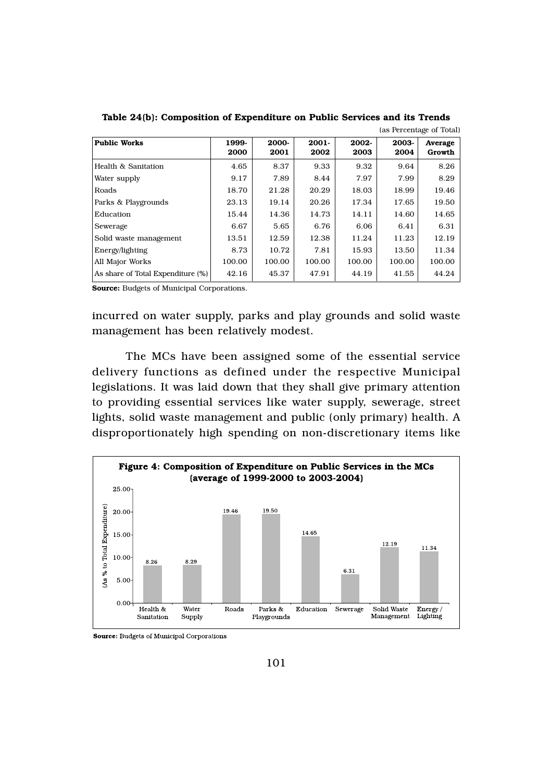|                                   |               |               |                  |               |               | ias i cittulagu oi Tolai) |
|-----------------------------------|---------------|---------------|------------------|---------------|---------------|---------------------------|
| <b>Public Works</b>               | 1999-<br>2000 | 2000-<br>2001 | $2001 -$<br>2002 | 2002-<br>2003 | 2003-<br>2004 | Average<br>Growth         |
| Health & Sanitation               | 4.65          | 8.37          | 9.33             | 9.32          | 9.64          | 8.26                      |
| Water supply                      | 9.17          | 7.89          | 8.44             | 7.97          | 7.99          | 8.29                      |
| Roads                             | 18.70         | 21.28         | 20.29            | 18.03         | 18.99         | 19.46                     |
| Parks & Playgrounds               | 23.13         | 19.14         | 20.26            | 17.34         | 17.65         | 19.50                     |
| Education                         | 15.44         | 14.36         | 14.73            | 14.11         | 14.60         | 14.65                     |
| Sewerage                          | 6.67          | 5.65          | 6.76             | 6.06          | 6.41          | 6.31                      |
| Solid waste management            | 13.51         | 12.59         | 12.38            | 11.24         | 11.23         | 12.19                     |
| Energy/lighting                   | 8.73          | 10.72         | 7.81             | 15.93         | 13.50         | 11.34                     |
| All Major Works                   | 100.00        | 100.00        | 100.00           | 100.00        | 100.00        | 100.00                    |
| As share of Total Expenditure (%) | 42.16         | 45.37         | 47.91            | 44.19         | 41.55         | 44.24                     |

Table 24(b): Composition of Expenditure on Public Services and its Trends (as Percentage of Total)

incurred on water supply, parks and play grounds and solid waste management has been relatively modest.

The MCs have been assigned some of the essential service delivery functions as defined under the respective Municipal legislations. It was laid down that they shall give primary attention to providing essential services like water supply, sewerage, street lights, solid waste management and public (only primary) health. A disproportionately high spending on non-discretionary items like



**Source:** Budgets of Municipal Corporations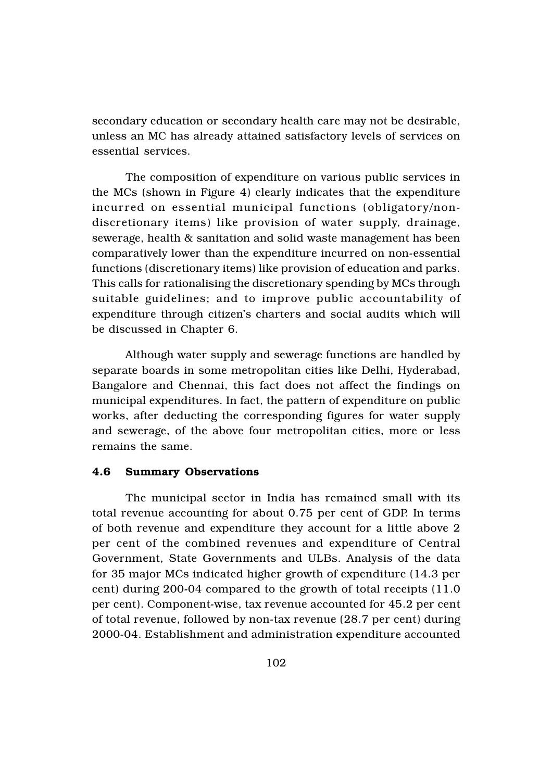secondary education or secondary health care may not be desirable, unless an MC has already attained satisfactory levels of services on essential services.

The composition of expenditure on various public services in the MCs (shown in Figure 4) clearly indicates that the expenditure incurred on essential municipal functions (obligatory/nondiscretionary items) like provision of water supply, drainage, sewerage, health & sanitation and solid waste management has been comparatively lower than the expenditure incurred on non-essential functions (discretionary items) like provision of education and parks. This calls for rationalising the discretionary spending by MCs through suitable guidelines; and to improve public accountability of expenditure through citizen's charters and social audits which will be discussed in Chapter 6.

Although water supply and sewerage functions are handled by separate boards in some metropolitan cities like Delhi, Hyderabad, Bangalore and Chennai, this fact does not affect the findings on municipal expenditures. In fact, the pattern of expenditure on public works, after deducting the corresponding figures for water supply and sewerage, of the above four metropolitan cities, more or less remains the same.

## 4.6 Summary Observations

The municipal sector in India has remained small with its total revenue accounting for about 0.75 per cent of GDP. In terms of both revenue and expenditure they account for a little above 2 per cent of the combined revenues and expenditure of Central Government, State Governments and ULBs. Analysis of the data for 35 major MCs indicated higher growth of expenditure (14.3 per cent) during 200-04 compared to the growth of total receipts (11.0 per cent). Component-wise, tax revenue accounted for 45.2 per cent of total revenue, followed by non-tax revenue (28.7 per cent) during 2000-04. Establishment and administration expenditure accounted